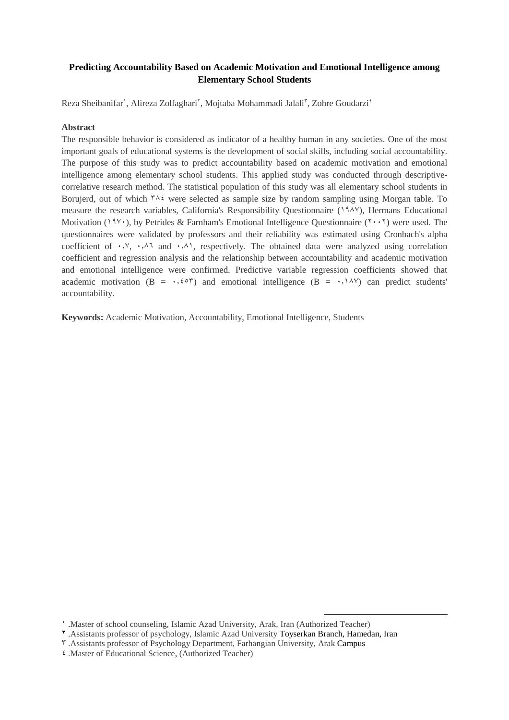## **Predicting Accountability Based on Academic Motivation and Emotional Intelligence among Elementary School Students**

Reza Sheibanifar', Alireza Zolfaghari', Mojtaba Mohammadi Jalali', Zohre Goudarzi<sup>4</sup>

## **Abstract**

The responsible behavior is considered as indicator of a healthy human in any societies. One of the most important goals of educational systems is the development of social skills, including social accountability. The purpose of this study was to predict accountability based on academic motivation and emotional intelligence among elementary school students. This applied study was conducted through descriptivecorrelative research method. The statistical population of this study was all elementary school students in Borujerd, out of which  $\tau \wedge i$  were selected as sample size by random sampling using Morgan table. To measure the research variables, California's Responsibility Questionnaire (1881), Hermans Educational Motivation (1911), by Petrides & Farnham's Emotional Intelligence Questionnaire ( $\gamma \cdot \gamma$ ) were used. The questionnaires were validated by professors and their reliability was estimated using Cronbach's alpha coefficient of  $\cdot$ ,  $\cdot$ ,  $\cdot$ ,  $\cdot$ , and  $\cdot$ ,  $\cdot$ , respectively. The obtained data were analyzed using correlation coefficient and regression analysis and the relationship between accountability and academic motivation and emotional intelligence were confirmed. Predictive variable regression coefficients showed that academic motivation (B =  $\cdot$ ,  $\epsilon \circ \tau$ ) and emotional intelligence (B =  $\cdot$ ,  $\cdot \wedge \vee \vee$ ) can predict students' accountability.

**Keywords:** Academic Motivation, Accountability, Emotional Intelligence, Students

1

<sup>1</sup> .Master of school counseling, Islamic Azad University, Arak, Iran (Authorized Teacher)

<sup>2</sup> .Assistants professor of psychology, Islamic Azad University Toyserkan Branch, Hamedan, Iran

<sup>3</sup> .Assistants professor of Psychology Department, Farhangian University, Arak Campus

<sup>4</sup> .Master of Educational Science, (Authorized Teacher)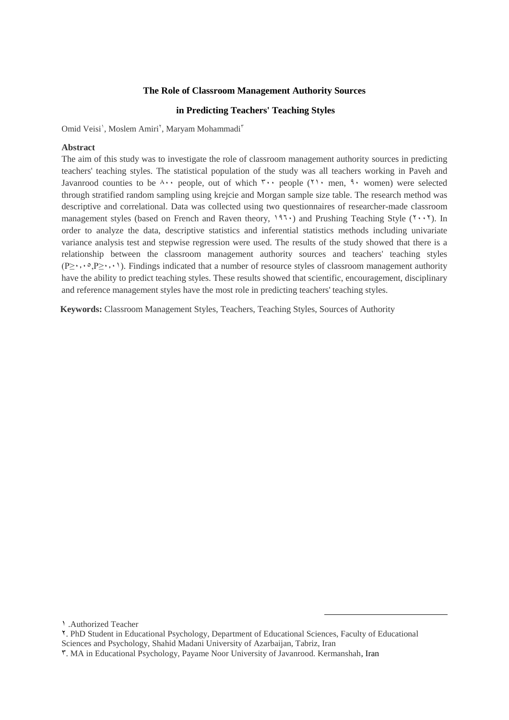#### **The Role of Classroom Management Authority Sources**

## **in Predicting Teachers' Teaching Styles**

Omid Veisi', Moslem Amiri', Maryam Mohammadi'

### **Abstract**

The aim of this study was to investigate the role of classroom management authority sources in predicting teachers' teaching styles. The statistical population of the study was all teachers working in Paveh and Javanrood counties to be  $\lambda \cdot \cdot$  people, out of which  $\lambda \cdot \cdot$  people ( $\lambda \cdot \cdot$  men,  $\lambda \cdot$  women) were selected through stratified random sampling using krejcie and Morgan sample size table. The research method was descriptive and correlational. Data was collected using two questionnaires of researcher-made classroom management styles (based on French and Raven theory,  $197 \cdot$ ) and Prushing Teaching Style ( $\gamma \cdot \gamma$ ). In order to analyze the data, descriptive statistics and inferential statistics methods including univariate variance analysis test and stepwise regression were used. The results of the study showed that there is a relationship between the classroom management authority sources and teachers' teaching styles  $(P \ge \cdot, \cdot^\circ, P \ge \cdot, \cdot)$ . Findings indicated that a number of resource styles of classroom management authority have the ability to predict teaching styles. These results showed that scientific, encouragement, disciplinary and reference management styles have the most role in predicting teachers' teaching styles.

**Keywords:** Classroom Management Styles, Teachers, Teaching Styles, Sources of Authority

1 .Authorized Teacher

1

<sup>2.</sup> PhD Student in Educational Psychology, Department of Educational Sciences, Faculty of Educational Sciences and Psychology, Shahid Madani University of Azarbaijan, Tabriz, Iran

<sup>3.</sup> MA in Educational Psychology, Payame Noor University of Javanrood. Kermanshah, Iran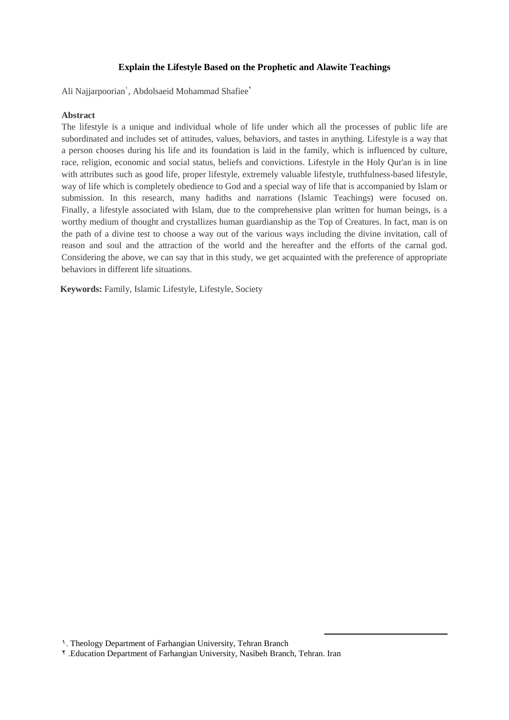## **Explain the Lifestyle Based on the Prophetic and Alawite Teachings**

Ali Najjarpoorian', Abdolsaeid Mohammad Shafiee'

## **Abstract**

The lifestyle is a unique and individual whole of life under which all the processes of public life are subordinated and includes set of attitudes, values, behaviors, and tastes in anything. Lifestyle is a way that a person chooses during his life and its foundation is laid in the family, which is influenced by culture, race, religion, economic and social status, beliefs and convictions. Lifestyle in the Holy Qur'an is in line with attributes such as good life, proper lifestyle, extremely valuable lifestyle, truthfulness-based lifestyle, way of life which is completely obedience to God and a special way of life that is accompanied by Islam or submission. In this research, many hadiths and narrations (Islamic Teachings) were focused on. Finally, a lifestyle associated with Islam, due to the comprehensive plan written for human beings, is a worthy medium of thought and crystallizes human guardianship as the Top of Creatures. In fact, man is on the path of a divine test to choose a way out of the various ways including the divine invitation, call of reason and soul and the attraction of the world and the hereafter and the efforts of the carnal god. Considering the above, we can say that in this study, we get acquainted with the preference of appropriate behaviors in different life situations.

**Keywords:** Family, Islamic Lifestyle, Lifestyle, Society

1

<sup>1.</sup> Theology Department of Farhangian University, Tehran Branch

<sup>2</sup> .Education Department of Farhangian University, Nasibeh Branch, Tehran. Iran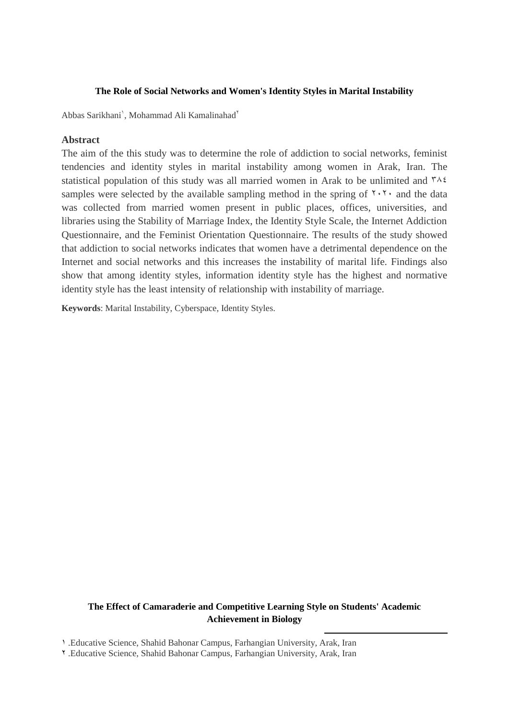## **The Role of Social Networks and Women's Identity Styles in Marital Instability**

Abbas Sarikhani', Mohammad Ali Kamalinahad<sup>Y</sup>

## **Abstract**

The aim of the this study was to determine the role of addiction to social networks, feminist tendencies and identity styles in marital instability among women in Arak, Iran. The statistical population of this study was all married women in Arak to be unlimited and  $\frac{r}{4}$ samples were selected by the available sampling method in the spring of  $\gamma$ .  $\gamma$  and the data was collected from married women present in public places, offices, universities, and libraries using the Stability of Marriage Index, the Identity Style Scale, the Internet Addiction Questionnaire, and the Feminist Orientation Questionnaire. The results of the study showed that addiction to social networks indicates that women have a detrimental dependence on the Internet and social networks and this increases the instability of marital life. Findings also show that among identity styles, information identity style has the highest and normative identity style has the least intensity of relationship with instability of marriage.

**Keywords**: Marital Instability, Cyberspace, Identity Styles.

# **The Effect of Camaraderie and Competitive Learning Style on Students' Academic Achievement in Biology**

1

1 .Educative Science, Shahid Bahonar Campus, Farhangian University, Arak, Iran

<sup>2</sup> .Educative Science, Shahid Bahonar Campus, Farhangian University, Arak, Iran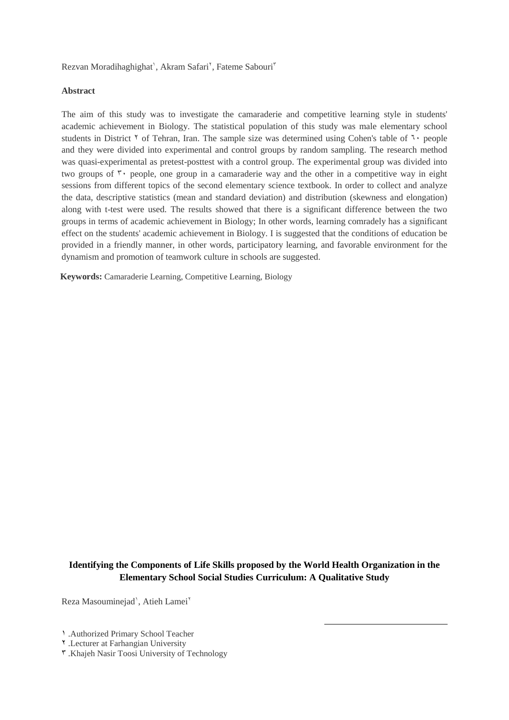Rezvan Moradihaghighat', Akram Safari<sup>Y</sup>, Fateme Sabouri<sup>T</sup>

## **Abstract**

The aim of this study was to investigate the camaraderie and competitive learning style in students' academic achievement in Biology. The statistical population of this study was male elementary school students in District  $\gamma$  of Tehran, Iran. The sample size was determined using Cohen's table of  $\gamma$  people and they were divided into experimental and control groups by random sampling. The research method was quasi-experimental as pretest-posttest with a control group. The experimental group was divided into two groups of  $\tilde{y}$  people, one group in a camaraderie way and the other in a competitive way in eight sessions from different topics of the second elementary science textbook. In order to collect and analyze the data, descriptive statistics (mean and standard deviation) and distribution (skewness and elongation) along with t-test were used. The results showed that there is a significant difference between the two groups in terms of academic achievement in Biology; In other words, learning comradely has a significant effect on the students' academic achievement in Biology. I is suggested that the conditions of education be provided in a friendly manner, in other words, participatory learning, and favorable environment for the dynamism and promotion of teamwork culture in schools are suggested.

**Keywords:** Camaraderie Learning, Competitive Learning, Biology

## **Identifying the Components of Life Skills proposed by the World Health Organization in the Elementary School Social Studies Curriculum: A Qualitative Study**

 $\overline{a}$ 

Reza Masouminejad', Atieh Lamei<sup>Y</sup>

<sup>1</sup> .Authorized Primary School Teacher

<sup>2</sup> .Lecturer at Farhangian University

<sup>3</sup> .Khajeh Nasir Toosi University of Technology